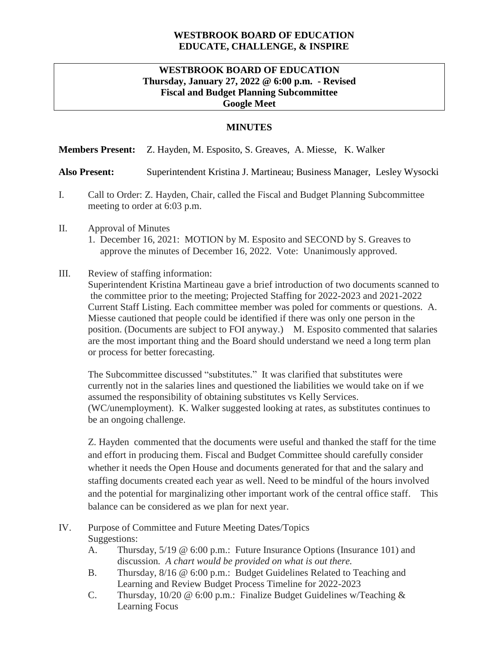# **WESTBROOK BOARD OF EDUCATION EDUCATE, CHALLENGE, & INSPIRE**

## **WESTBROOK BOARD OF EDUCATION Thursday, January 27, 2022 @ 6:00 p.m. - Revised Fiscal and Budget Planning Subcommittee Google Meet**

### **MINUTES**

#### **Members Present:** Z. Hayden, M. Esposito, S. Greaves, A. Miesse, K. Walker

#### **Also Present:** Superintendent Kristina J. Martineau; Business Manager, Lesley Wysocki

- I. Call to Order: Z. Hayden, Chair, called the Fiscal and Budget Planning Subcommittee meeting to order at 6:03 p.m.
- II. Approval of Minutes
	- 1. December 16, 2021: MOTION by M. Esposito and SECOND by S. Greaves to approve the minutes of December 16, 2022. Vote: Unanimously approved.

#### III. Review of staffing information:

Superintendent Kristina Martineau gave a brief introduction of two documents scanned to the committee prior to the meeting; Projected Staffing for 2022-2023 and 2021-2022 Current Staff Listing. Each committee member was poled for comments or questions. A. Miesse cautioned that people could be identified if there was only one person in the position. (Documents are subject to FOI anyway.) M. Esposito commented that salaries are the most important thing and the Board should understand we need a long term plan or process for better forecasting.

The Subcommittee discussed "substitutes." It was clarified that substitutes were currently not in the salaries lines and questioned the liabilities we would take on if we assumed the responsibility of obtaining substitutes vs Kelly Services. (WC/unemployment). K. Walker suggested looking at rates, as substitutes continues to be an ongoing challenge.

Z. Hayden commented that the documents were useful and thanked the staff for the time and effort in producing them. Fiscal and Budget Committee should carefully consider whether it needs the Open House and documents generated for that and the salary and staffing documents created each year as well. Need to be mindful of the hours involved and the potential for marginalizing other important work of the central office staff. This balance can be considered as we plan for next year.

## IV. Purpose of Committee and Future Meeting Dates/Topics Suggestions:

- A. Thursday, 5/19 @ 6:00 p.m.: Future Insurance Options (Insurance 101) and discussion*. A chart would be provided on what is out there.*
- B. Thursday, 8/16 @ 6:00 p.m.: Budget Guidelines Related to Teaching and Learning and Review Budget Process Timeline for 2022-2023
- C. Thursday, 10/20 @ 6:00 p.m.: Finalize Budget Guidelines w/Teaching & Learning Focus